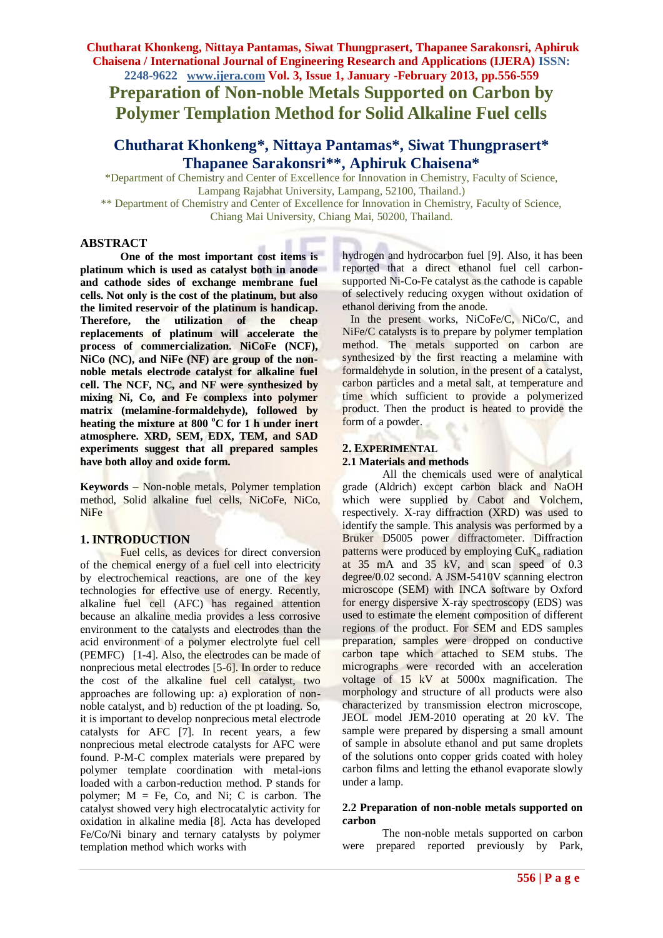**Chutharat Khonkeng, Nittaya Pantamas, Siwat Thungprasert, Thapanee Sarakonsri, Aphiruk Chaisena / International Journal of Engineering Research and Applications (IJERA) ISSN:** 

**2248-9622 www.ijera.com Vol. 3, Issue 1, January -February 2013, pp.556-559 Preparation of Non-noble Metals Supported on Carbon by Polymer Templation Method for Solid Alkaline Fuel cells**

# **Chutharat Khonkeng\*, Nittaya Pantamas\*, Siwat Thungprasert\* Thapanee Sarakonsri\*\*, Aphiruk Chaisena\***

\*Department of Chemistry and Center of Excellence for Innovation in Chemistry, Faculty of Science, Lampang Rajabhat University, Lampang, 52100, Thailand.)

\*\* Department of Chemistry and Center of Excellence for Innovation in Chemistry, Faculty of Science, Chiang Mai University, Chiang Mai, 50200, Thailand.

#### **ABSTRACT**

**One of the most important cost items is platinum which is used as catalyst both in anode and cathode sides of exchange membrane fuel cells. Not only is the cost of the platinum, but also the limited reservoir of the platinum is handicap. Therefore, the utilization of the cheap replacements of platinum will accelerate the process of commercialization. NiCoFe (NCF), NiCo (NC), and NiFe (NF) are group of the nonnoble metals electrode catalyst for alkaline fuel cell. The NCF, NC, and NF were synthesized by mixing Ni, Co, and Fe complexs into polymer matrix (melamine-formaldehyde), followed by heating the mixture at 800 <sup>o</sup>C for 1 h under inert atmosphere. XRD, SEM, EDX, TEM, and SAD experiments suggest that all prepared samples have both alloy and oxide form.** 

**Keywords** – Non-noble metals, Polymer templation method, Solid alkaline fuel cells, NiCoFe, NiCo, NiFe

#### **1. INTRODUCTION**

Fuel cells, as devices for direct conversion of the chemical energy of a fuel cell into electricity by electrochemical reactions, are one of the key technologies for effective use of energy. Recently, alkaline fuel cell (AFC) has regained attention because an alkaline media provides a less corrosive environment to the catalysts and electrodes than the acid environment of a polymer electrolyte fuel cell (PEMFC) [1-4]. Also, the electrodes can be made of nonprecious metal electrodes [5-6]. In order to reduce the cost of the alkaline fuel cell catalyst, two approaches are following up: a) exploration of nonnoble catalyst, and b) reduction of the pt loading. So, it is important to develop nonprecious metal electrode catalysts for AFC [7]. In recent years, a few nonprecious metal electrode catalysts for AFC were found. P-M-C complex materials were prepared by polymer template coordination with metal-ions loaded with a carbon-reduction method. P stands for polymer;  $M = Fe$ , Co, and Ni; C is carbon. The catalyst showed very high electrocatalytic activity for oxidation in alkaline media [8]. Acta has developed Fe/Co/Ni binary and ternary catalysts by polymer templation method which works with

hydrogen and hydrocarbon fuel [9]. Also, it has been reported that a direct ethanol fuel cell carbonsupported Ni-Co-Fe catalyst as the cathode is capable of selectively reducing oxygen without oxidation of ethanol deriving from the anode.

 In the present works, NiCoFe/C, NiCo/C, and NiFe/C catalysts is to prepare by polymer templation method. The metals supported on carbon are synthesized by the first reacting a melamine with formaldehyde in solution, in the present of a catalyst, carbon particles and a metal salt, at temperature and time which sufficient to provide a polymerized product. Then the product is heated to provide the form of a powder.

#### **2. EXPERIMENTAL 2.1 Materials and methods**

All the chemicals used were of analytical grade (Aldrich) except carbon black and NaOH which were supplied by Cabot and Volchem, respectively. X-ray diffraction (XRD) was used to identify the sample. This analysis was performed by a Bruker D5005 power diffractometer. Diffraction patterns were produced by employing  $CuK_a$  radiation at 35 mA and 35 kV, and scan speed of 0.3 degree/0.02 second. A JSM-5410V scanning electron microscope (SEM) with INCA software by Oxford for energy dispersive X-ray spectroscopy (EDS) was used to estimate the element composition of different regions of the product. For SEM and EDS samples preparation, samples were dropped on conductive carbon tape which attached to SEM stubs. The micrographs were recorded with an acceleration voltage of 15 kV at 5000x magnification. The morphology and structure of all products were also characterized by transmission electron microscope, JEOL model JEM-2010 operating at 20 kV. The sample were prepared by dispersing a small amount of sample in absolute ethanol and put same droplets of the solutions onto copper grids coated with holey carbon films and letting the ethanol evaporate slowly under a lamp.

#### **2.2 Preparation of non-noble metals supported on carbon**

The non-noble metals supported on carbon were prepared reported previously by Park,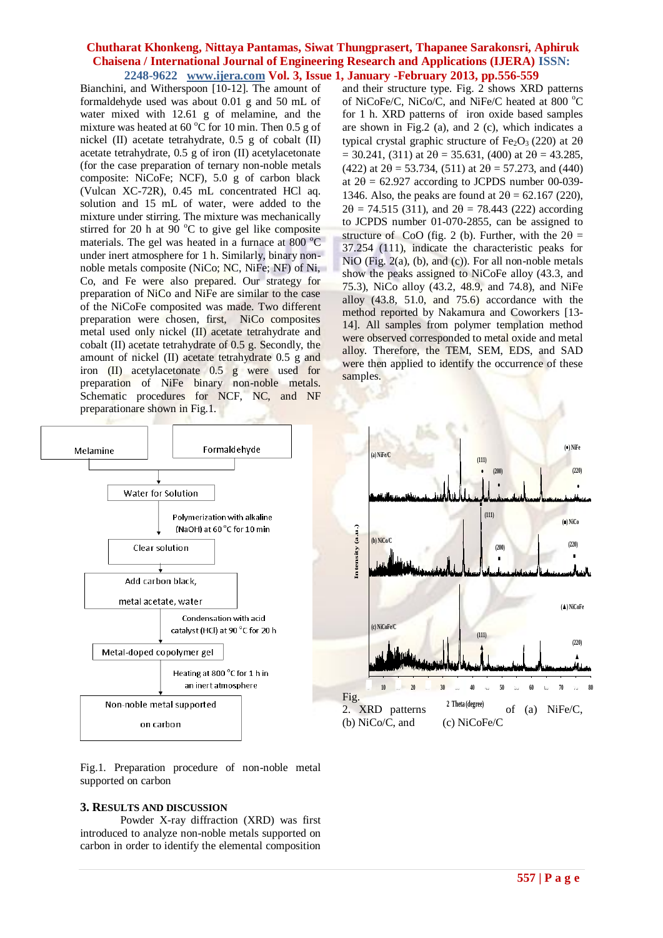#### **Chutharat Khonkeng, Nittaya Pantamas, Siwat Thungprasert, Thapanee Sarakonsri, Aphiruk Chaisena / International Journal of Engineering Research and Applications (IJERA) ISSN: 2248-9622 www.ijera.com Vol. 3, Issue 1, January -February 2013, pp.556-559**

Bianchini, and Witherspoon [10-12]. The amount of formaldehyde used was about 0.01 g and 50 mL of water mixed with 12.61 g of melamine, and the mixture was heated at 60  $^{\circ}$ C for 10 min. Then 0.5 g of nickel (II) acetate tetrahydrate, 0.5 g of cobalt (II) acetate tetrahydrate, 0.5 g of iron (II) acetylacetonate (for the case preparation of ternary non-noble metals composite: NiCoFe; NCF), 5.0 g of carbon black (Vulcan XC-72R), 0.45 mL concentrated HCl aq. solution and 15 mL of water, were added to the mixture under stirring. The mixture was mechanically stirred for 20 h at  $90^{\circ}$ C to give gel like composite materials. The gel was heated in a furnace at  $800 \degree C$ under inert atmosphere for 1 h. Similarly, binary nonnoble metals composite (NiCo; NC, NiFe; NF) of Ni, Co, and Fe were also prepared. Our strategy for preparation of NiCo and NiFe are similar to the case of the NiCoFe composited was made. Two different preparation were chosen, first, NiCo composites metal used only nickel (II) acetate tetrahydrate and cobalt (II) acetate tetrahydrate of 0.5 g. Secondly, the amount of nickel (II) acetate tetrahydrate 0.5 g and iron (II) acetylacetonate 0.5 g were used for preparation of NiFe binary non-noble metals. Schematic procedures for NCF, NC, and NF preparationare shown in Fig.1.



Fig.1. Preparation procedure of non-noble metal supported on carbon

#### **3. RESULTS AND DISCUSSION**

Powder X-ray diffraction (XRD) was first introduced to analyze non-noble metals supported on carbon in order to identify the elemental composition and their structure type. Fig. 2 shows XRD patterns of NiCoFe/C, NiCo/C, and NiFe/C heated at 800 $^{\circ}$ C for 1 h. XRD patterns of iron oxide based samples are shown in Fig.2 (a), and 2 (c), which indicates a typical crystal graphic structure of Fe<sub>2</sub>O<sub>3</sub> (220) at 2 $\theta$  $= 30.241$ , (311) at  $2\theta = 35.631$ , (400) at  $2\theta = 43.285$ , (422) at  $2\theta = 53.734$ , (511) at  $2\theta = 57.273$ , and (440) at  $2\theta = 62.927$  according to JCPDS number 00-039-1346. Also, the peaks are found at  $2\theta = 62.167$  (220),  $2\theta = 74.515$  (311), and  $2\theta = 78.443$  (222) according to JCPDS number 01-070-2855, can be assigned to structure of CoO (fig. 2 (b). Further, with the  $2\theta =$ 37.254 (111), indicate the characteristic peaks for NiO (Fig.  $2(a)$ , (b), and (c)). For all non-noble metals show the peaks assigned to NiCoFe alloy (43.3, and 75.3), NiCo alloy (43.2, 48.9, and 74.8), and NiFe alloy  $(43.8, 51.0, and 75.6)$  accordance with the method reported by Nakamura and Coworkers [13- 14]. All samples from polymer templation method were observed corresponded to metal oxide and metal alloy. Therefore, the TEM, SEM, EDS, and SAD were then applied to identify the occurrence of these samples.

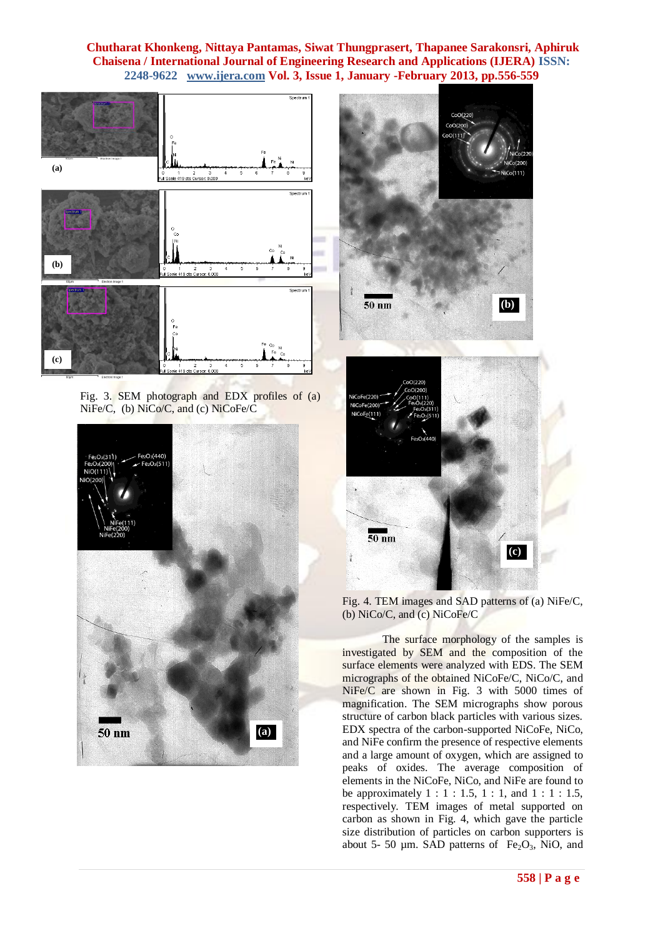# **Chutharat Khonkeng, Nittaya Pantamas, Siwat Thungprasert, Thapanee Sarakonsri, Aphiruk Chaisena / International Journal of Engineering Research and Applications (IJERA) ISSN: 2248-9622 www.ijera.com Vol. 3, Issue 1, January -February 2013, pp.556-559**



Fig. 3. SEM photograph and EDX profiles of (a) NiFe/C, (b) NiCo/C, and (c) NiCoFe/C





(b) NiCo/C, and (c) NiCoFe/C

The surface morphology of the samples is investigated by SEM and the composition of the surface elements were analyzed with EDS. The SEM micrographs of the obtained NiCoFe/C, NiCo/C, and NiFe/C are shown in Fig. 3 with 5000 times of magnification. The SEM micrographs show porous structure of carbon black particles with various sizes. EDX spectra of the carbon-supported NiCoFe, NiCo, and NiFe confirm the presence of respective elements and a large amount of oxygen, which are assigned to peaks of oxides. The average composition of elements in the NiCoFe, NiCo, and NiFe are found to be approximately  $1 : 1 : 1.5, 1 : 1,$  and  $1 : 1 : 1.5$ , respectively. TEM images of metal supported on carbon as shown in Fig. 4, which gave the particle size distribution of particles on carbon supporters is about 5- 50  $\mu$ m. SAD patterns of Fe<sub>2</sub>O<sub>3</sub>, NiO, and